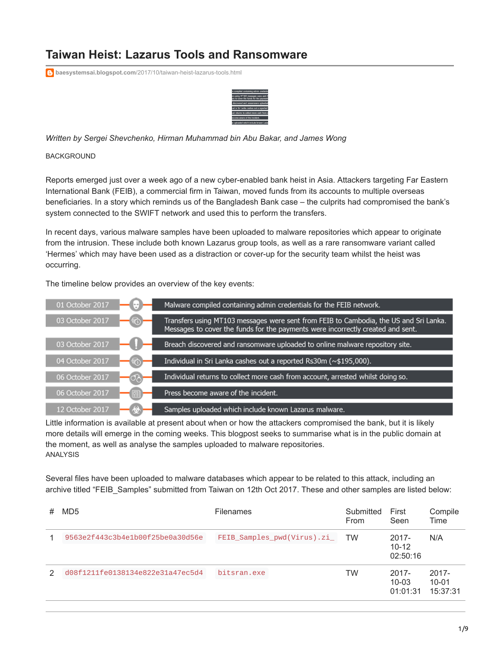# **Taiwan Heist: Lazarus Tools and Ransomware**

**baesystemsai.blogspot.com**[/2017/10/taiwan-heist-lazarus-tools.html](https://baesystemsai.blogspot.com/2017/10/taiwan-heist-lazarus-tools.html)



*Written by Sergei Shevchenko, Hirman Muhammad bin Abu Bakar, and James Wong*

**BACKGROUND** 

Reports emerged just over a week ago of a new cyber-enabled bank heist in Asia. Attackers targeting Far Eastern International Bank (FEIB), a commercial firm in Taiwan, moved funds from its accounts to multiple overseas beneficiaries. In a story which reminds us of the Bangladesh Bank case – the culprits had compromised the bank's system connected to the SWIFT network and used this to perform the transfers.

In recent days, various malware samples have been uploaded to malware repositories which appear to originate from the intrusion. These include both known Lazarus group tools, as well as a rare ransomware variant called 'Hermes' which may have been used as a distraction or cover-up for the security team whilst the heist was occurring.

The timeline below provides an overview of the key events:



Little information is available at present about when or how the attackers compromised the bank, but it is likely more details will emerge in the coming weeks. This blogpost seeks to summarise what is in the public domain at the moment, as well as analyse the samples uploaded to malware repositories. ANALYSIS

Several files have been uploaded to malware databases which appear to be related to this attack, including an archive titled "FEIB\_Samples" submitted from Taiwan on 12th Oct 2017. These and other samples are listed below:

| # | MD <sub>5</sub>                  | <b>Filenames</b>            | Submitted<br><b>From</b> | First<br>Seen                     | Compile<br>Time                   |
|---|----------------------------------|-----------------------------|--------------------------|-----------------------------------|-----------------------------------|
|   | 9563e2f443c3b4e1b00f25be0a30d56e | FEIB_Samples_pwd(Virus).zi_ | TW                       | $2017 -$<br>$10 - 12$<br>02:50:16 | N/A                               |
| 2 | d08f1211fe0138134e822e31a47ec5d4 | bitsran.exe                 | TW                       | $2017 -$<br>$10 - 03$<br>01:01:31 | $2017 -$<br>$10 - 01$<br>15:37:31 |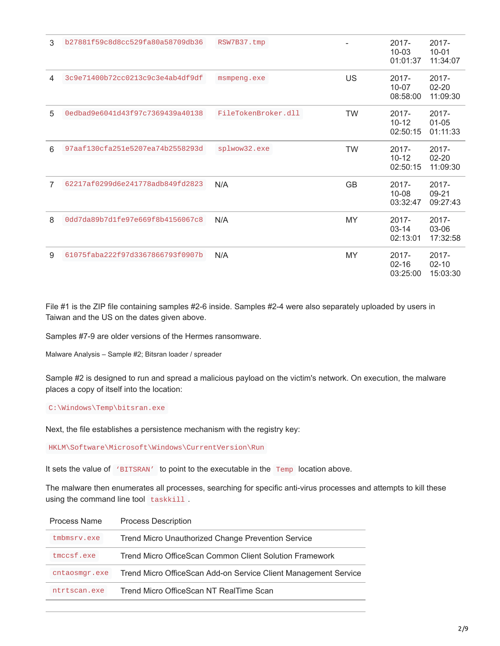| 3 | b27881f59c8d8cc529fa80a58709db36 | RSW7B37.tmp         |           | $2017 -$<br>$10 - 03$<br>01:01:37 | $2017 -$<br>$10 - 01$<br>11:34:07 |
|---|----------------------------------|---------------------|-----------|-----------------------------------|-----------------------------------|
| 4 | 3c9e71400b72cc0213c9c3e4ab4df9df | msmpeng.exe         | US        | $2017 -$<br>$10 - 07$<br>08:58:00 | $2017 -$<br>$02 - 20$<br>11:09:30 |
| 5 | 0edbad9e6041d43f97c7369439a40138 | FileTokenBroker.dll | <b>TW</b> | $2017 -$<br>$10 - 12$<br>02:50:15 | 2017-<br>$01 - 05$<br>01:11:33    |
| 6 | 97aaf130cfa251e5207ea74b2558293d | splwow32.exe        | <b>TW</b> | $2017 -$<br>$10 - 12$<br>02:50:15 | 2017-<br>$02 - 20$<br>11:09:30    |
| 7 | 62217af0299d6e241778adb849fd2823 | N/A                 | GB        | $2017 -$<br>$10 - 08$<br>03:32:47 | 2017-<br>09-21<br>09:27:43        |
| 8 | 0dd7da89b7d1fe97e669f8b4156067c8 | N/A                 | <b>MY</b> | $2017 -$<br>$03 - 14$<br>02:13:01 | $2017 -$<br>03-06<br>17:32:58     |
| 9 | 61075faba222f97d3367866793f0907b | N/A                 | MY        | $2017 -$<br>$02 - 16$<br>03:25:00 | $2017 -$<br>$02 - 10$<br>15:03:30 |

File #1 is the ZIP file containing samples #2-6 inside. Samples #2-4 were also separately uploaded by users in Taiwan and the US on the dates given above.

Samples #7-9 are older versions of the Hermes ransomware.

Malware Analysis – Sample #2; Bitsran loader / spreader

Sample #2 is designed to run and spread a malicious payload on the victim's network. On execution, the malware places a copy of itself into the location:

### C:\Windows\Temp\bitsran.exe

Next, the file establishes a persistence mechanism with the registry key:

HKLM\Software\Microsoft\Windows\CurrentVersion\Run

It sets the value of 'BITSRAN' to point to the executable in the Temp location above.

The malware then enumerates all processes, searching for specific anti-virus processes and attempts to kill these using the command line tool taskkill.

| Process Name  | <b>Process Description</b>                                      |
|---------------|-----------------------------------------------------------------|
| tmbmsrv.exe   | <b>Trend Micro Unauthorized Change Prevention Service</b>       |
| tmccsf.exe    | Trend Micro OfficeScan Common Client Solution Framework         |
| cntaosmgr.exe | Trend Micro OfficeScan Add-on Service Client Management Service |
| ntrtscan.exe  | Trend Micro OfficeScan NT RealTime Scan                         |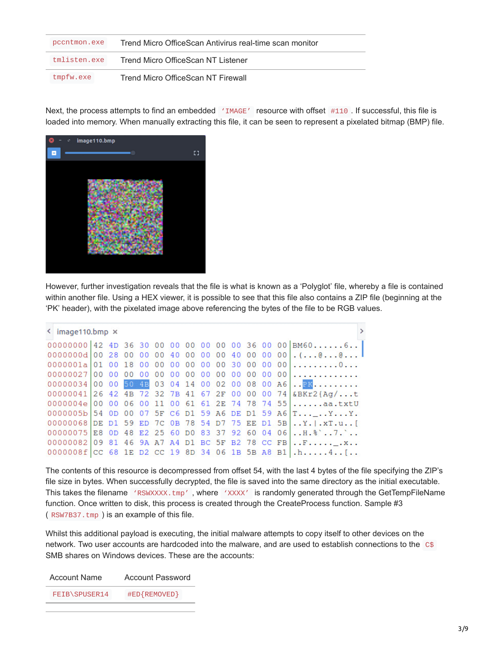| pccntmon.exe | Trend Micro OfficeScan Antivirus real-time scan monitor |
|--------------|---------------------------------------------------------|
| tmlisten.exe | Trend Micro OfficeScan NT Listener                      |
| tmpfw.exe    | Trend Micro OfficeScan NT Firewall                      |

Next, the process attempts to find an embedded 'IMAGE' resource with offset #110. If successful, this file is loaded into memory. When manually extracting this file, it can be seen to represent a pixelated bitmap (BMP) file.



However, further investigation reveals that the file is what is known as a 'Polyglot' file, whereby a file is contained within another file. Using a HEX viewer, it is possible to see that this file also contains a ZIP file (beginning at the 'PK' header), with the pixelated image above referencing the bytes of the file to be RGB values.

| $\leq$ image110.bmp $\times$ |  |  |  |  |  |  |                                                                |
|------------------------------|--|--|--|--|--|--|----------------------------------------------------------------|
|                              |  |  |  |  |  |  | 00000000 42 4D 36 30 00 00 00 00 00 00 36 00 00 BM606          |
|                              |  |  |  |  |  |  |                                                                |
|                              |  |  |  |  |  |  |                                                                |
|                              |  |  |  |  |  |  |                                                                |
|                              |  |  |  |  |  |  | 00000034 00 00 50 4E 03 04 14 00 02 00 08 00 A6. $\frac{1}{2}$ |
|                              |  |  |  |  |  |  | 00000041 26 42 4B 72 32 7B 41 67 2F 00 00 00 74 &BKr2{Aq/t     |
|                              |  |  |  |  |  |  | $0000004e 0000600110061612E74787455a a.txtU$                   |
|                              |  |  |  |  |  |  | 0000005b 54 0D 00 07 5F C6 D1 59 A6 DE D1 59 A6 T_YY.          |
|                              |  |  |  |  |  |  | 00000068 DE D1 59 ED 7C 0B 78 54 D7 75 EE D1 5B.Y.I.XT.u.      |
|                              |  |  |  |  |  |  | 00000075 E8 OD 48 E2 25 60 D0 83 37 92 60 04 06H. \.           |
|                              |  |  |  |  |  |  | 00000082 09 81 46 9A A7 A4 D1 BC 5F B2 78 CC FB F              |
|                              |  |  |  |  |  |  | $0000008f$ CC 68 1E D2 CC 19 8D 34 06 1B 5B A8 B1 .h4[         |

The contents of this resource is decompressed from offset 54, with the last 4 bytes of the file specifying the ZIP's file size in bytes. When successfully decrypted, the file is saved into the same directory as the initial executable. This takes the filename 'RSWXXXX.tmp', where 'XXXX' is randomly generated through the GetTempFileName function. Once written to disk, this process is created through the CreateProcess function. Sample #3 ( RSW7B37.tmp ) is an example of this file.

Whilst this additional payload is executing, the initial malware attempts to copy itself to other devices on the network. Two user accounts are hardcoded into the malware, and are used to establish connections to the C\$ SMB shares on Windows devices. These are the accounts:

| Account Name  | Account Password |  |  |
|---------------|------------------|--|--|
| FEIB\SPUSER14 | #ED{REMOVED}     |  |  |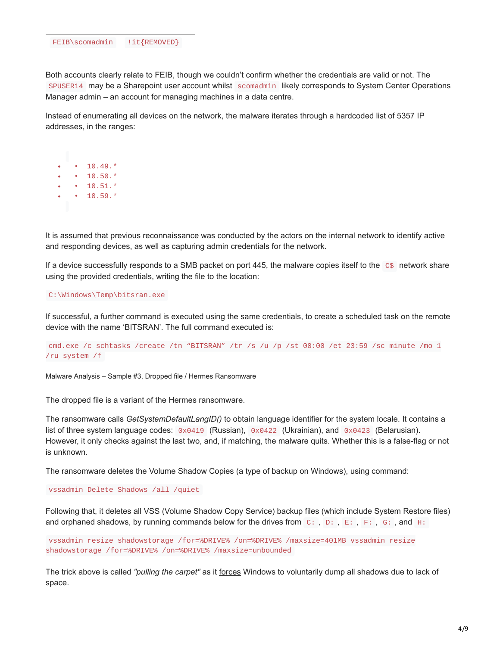Both accounts clearly relate to FEIB, though we couldn't confirm whether the credentials are valid or not. The SPUSER14 may be a Sharepoint user account whilst scomadmin likely corresponds to System Center Operations Manager admin – an account for managing machines in a data centre.

Instead of enumerating all devices on the network, the malware iterates through a hardcoded list of 5357 IP addresses, in the ranges:

 $• 10.49.*$ •  $10.50.*$  $\cdot$  10.51. $*$  $• 10.59.*$ 

It is assumed that previous reconnaissance was conducted by the actors on the internal network to identify active and responding devices, as well as capturing admin credentials for the network.

If a device successfully responds to a SMB packet on port 445, the malware copies itself to the  $C$$  network share using the provided credentials, writing the file to the location:

#### C:\Windows\Temp\bitsran.exe

If successful, a further command is executed using the same credentials, to create a scheduled task on the remote device with the name 'BITSRAN'. The full command executed is:

```
cmd.exe /c schtasks /create /tn "BITSRAN" /tr /s /u /p /st 00:00 /et 23:59 /sc minute /mo 1
/ru system /f
```
Malware Analysis – Sample #3, Dropped file / Hermes Ransomware

The dropped file is a variant of the Hermes ransomware.

The ransomware calls *GetSystemDefaultLangID()* to obtain language identifier for the system locale. It contains a list of three system language codes: 0x0419 (Russian), 0x0422 (Ukrainian), and 0x0423 (Belarusian). However, it only checks against the last two, and, if matching, the malware quits. Whether this is a false-flag or not is unknown.

The ransomware deletes the Volume Shadow Copies (a type of backup on Windows), using command:

vssadmin Delete Shadows /all /quiet

Following that, it deletes all VSS (Volume Shadow Copy Service) backup files (which include System Restore files) and orphaned shadows, by running commands below for the drives from C: , D: , E: , F: , G: , and H:

vssadmin resize shadowstorage /for=%DRIVE% /on=%DRIVE% /maxsize=401MB vssadmin resize shadowstorage /for=%DRIVE% /on=%DRIVE% /maxsize=unbounded

The trick above is called *"pulling the carpet"* as it [forces](http://backupchain.com/i/how-to-delete-all-vss-shadows-and-orphaned-shadows) Windows to voluntarily dump all shadows due to lack of space.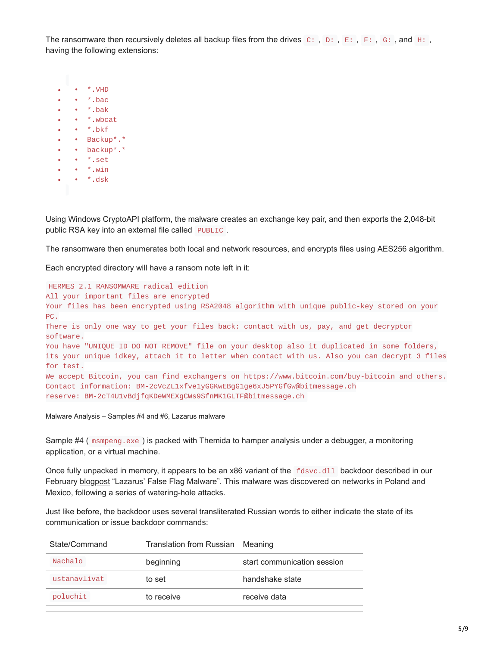The ransomware then recursively deletes all backup files from the drives  $C:$ ,  $D:$ ,  $E:$ ,  $F:$ ,  $G:$ , and  $H:$ , having the following extensions:

|  | *.VHD         |
|--|---------------|
|  | $*$ .bac      |
|  | *.bak         |
|  | *.whcat       |
|  | *.hkf         |
|  | Backup*.<br>* |
|  | backup*.*     |
|  | *.set         |
|  | *.win         |
|  | *.dsk         |
|  |               |

Using Windows CryptoAPI platform, the malware creates an exchange key pair, and then exports the 2,048-bit public RSA key into an external file called PUBLIC.

The ransomware then enumerates both local and network resources, and encrypts files using AES256 algorithm.

Each encrypted directory will have a ransom note left in it:

HERMES 2.1 RANSOMWARE radical edition All your important files are encrypted Your files has been encrypted using RSA2048 algorithm with unique public-key stored on your PC. There is only one way to get your files back: contact with us, pay, and get decryptor software. You have "UNIQUE\_ID\_DO\_NOT\_REMOVE" file on your desktop also it duplicated in some folders, its your unique idkey, attach it to letter when contact with us. Also you can decrypt 3 files for test. We accept Bitcoin, you can find exchangers on https://www.bitcoin.com/buy-bitcoin and others. Contact information: BM-2cVcZL1xfve1yGGKwEBgG1ge6xJ5PYGfGw@bitmessage.ch reserve: BM-2cT4U1vBdjfqKDeWMEXgCWs9SfnMK1GLTF@bitmessage.ch

Malware Analysis – Samples #4 and #6, Lazarus malware

Sample #4 ( msmpeng.exe ) is packed with Themida to hamper analysis under a debugger, a monitoring application, or a virtual machine.

Once fully unpacked in memory, it appears to be an x86 variant of the fdsvc.dll backdoor described in our February [blogpost](http://baesystemsai.blogspot.com/2017/02/lazarus-false-flag-malware.html) "Lazarus' False Flag Malware". This malware was discovered on networks in Poland and Mexico, following a series of watering-hole attacks.

Just like before, the backdoor uses several transliterated Russian words to either indicate the state of its communication or issue backdoor commands:

| State/Command | Translation from Russian Meaning |                             |  |  |
|---------------|----------------------------------|-----------------------------|--|--|
| Nachalo       | beginning                        | start communication session |  |  |
| ustanavlivat  | to set                           | handshake state             |  |  |
| poluchit      | to receive                       | receive data                |  |  |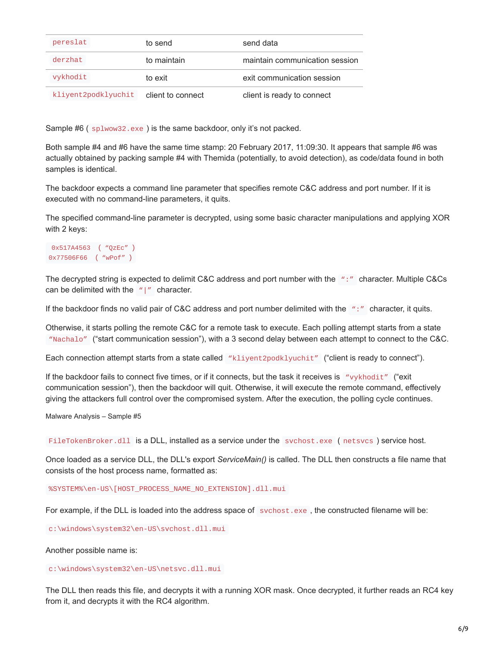| pereslat            | to send           | send data                      |
|---------------------|-------------------|--------------------------------|
| derzhat             | to maintain       | maintain communication session |
| vykhodit            | to exit           | exit communication session     |
| kliyent2podklyuchit | client to connect | client is ready to connect     |

Sample #6 (  $splwow32.exe$  ) is the same backdoor, only it's not packed.

Both sample #4 and #6 have the same time stamp: 20 February 2017, 11:09:30. It appears that sample #6 was actually obtained by packing sample #4 with Themida (potentially, to avoid detection), as code/data found in both samples is identical.

The backdoor expects a command line parameter that specifies remote C&C address and port number. If it is executed with no command-line parameters, it quits.

The specified command-line parameter is decrypted, using some basic character manipulations and applying XOR with 2 keys:

```
0x517A4563 ( "QzEc" )
0x77506F66 ( "wPof" )
```
The decrypted string is expected to delimit C&C address and port number with the ":" character. Multiple C&Cs can be delimited with the  $''$ |" character.

If the backdoor finds no valid pair of C&C address and port number delimited with the ":" character, it quits.

Otherwise, it starts polling the remote C&C for a remote task to execute. Each polling attempt starts from a state "Nachalo" ("start communication session"), with a 3 second delay between each attempt to connect to the C&C.

Each connection attempt starts from a state called "kliyent2podklyuchit" ("client is ready to connect").

If the backdoor fails to connect five times, or if it connects, but the task it receives is "vykhodit" ("exit communication session"), then the backdoor will quit. Otherwise, it will execute the remote command, effectively giving the attackers full control over the compromised system. After the execution, the polling cycle continues.

Malware Analysis – Sample #5

FileTokenBroker.dll is a DLL, installed as a service under the svchost.exe (netsvcs) service host.

Once loaded as a service DLL, the DLL's export *ServiceMain()* is called. The DLL then constructs a file name that consists of the host process name, formatted as:

%SYSTEM%\en-US\[HOST\_PROCESS\_NAME\_NO\_EXTENSION].dll.mui

For example, if the DLL is loaded into the address space of svchost.exe , the constructed filename will be:

c:\windows\system32\en-US\svchost.dll.mui

Another possible name is:

c:\windows\system32\en-US\netsvc.dll.mui

The DLL then reads this file, and decrypts it with a running XOR mask. Once decrypted, it further reads an RC4 key from it, and decrypts it with the RC4 algorithm.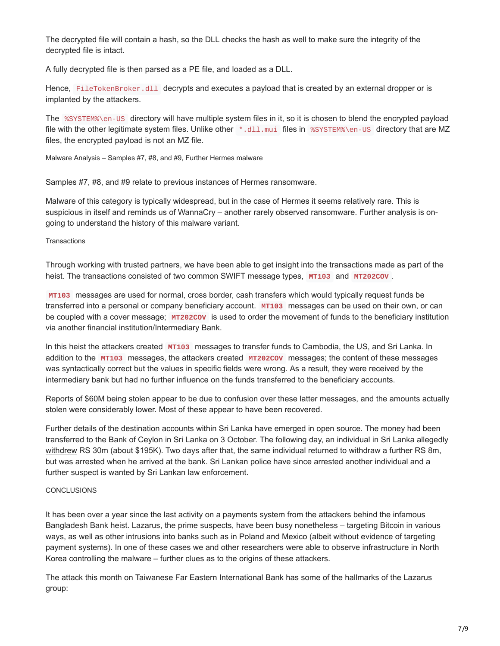The decrypted file will contain a hash, so the DLL checks the hash as well to make sure the integrity of the decrypted file is intact.

A fully decrypted file is then parsed as a PE file, and loaded as a DLL.

Hence, FileTokenBroker.dll decrypts and executes a payload that is created by an external dropper or is implanted by the attackers.

The %SYSTEM%\en-US directory will have multiple system files in it, so it is chosen to blend the encrypted payload file with the other legitimate system files. Unlike other \*.dll.mui files in %SYSTEM%\en-US directory that are MZ files, the encrypted payload is not an MZ file.

Malware Analysis – Samples #7, #8, and #9, Further Hermes malware

Samples #7, #8, and #9 relate to previous instances of Hermes ransomware.

Malware of this category is typically widespread, but in the case of Hermes it seems relatively rare. This is suspicious in itself and reminds us of WannaCry – another rarely observed ransomware. Further analysis is ongoing to understand the history of this malware variant.

**Transactions** 

Through working with trusted partners, we have been able to get insight into the transactions made as part of the heist. The transactions consisted of two common SWIFT message types, **MT103** and **MT202COV** .

**MT103** messages are used for normal, cross border, cash transfers which would typically request funds be transferred into a personal or company beneficiary account. **MT103** messages can be used on their own, or can be coupled with a cover message; **MT202COV** is used to order the movement of funds to the beneficiary institution via another financial institution/Intermediary Bank.

In this heist the attackers created **MT103** messages to transfer funds to Cambodia, the US, and Sri Lanka. In addition to the **MT103** messages, the attackers created **MT202COV** messages; the content of these messages was syntactically correct but the values in specific fields were wrong. As a result, they were received by the intermediary bank but had no further influence on the funds transferred to the beneficiary accounts.

Reports of \$60M being stolen appear to be due to confusion over these latter messages, and the amounts actually stolen were considerably lower. Most of these appear to have been recovered.

Further details of the destination accounts within Sri Lanka have emerged in open source. The money had been transferred to the Bank of Ceylon in Sri Lanka on 3 October. The following day, an individual in Sri Lanka allegedly [withdrew](https://visitsrilanka.com/news/hack-on-taiwanese-bank-sri-lankan-suspect-arrested-another-in-hiding-newsfirst/) RS 30m (about \$195K). Two days after that, the same individual returned to withdraw a further RS 8m, but was arrested when he arrived at the bank. Sri Lankan police have since arrested another individual and a further suspect is wanted by Sri Lankan law enforcement.

## **CONCLUSIONS**

It has been over a year since the last activity on a payments system from the attackers behind the infamous Bangladesh Bank heist. Lazarus, the prime suspects, have been busy nonetheless – targeting Bitcoin in various ways, as well as other intrusions into banks such as in Poland and Mexico (albeit without evidence of targeting payment systems). In one of these cases we and other [researchers](https://securelist.com/lazarus-under-the-hood/77908/) were able to observe infrastructure in North Korea controlling the malware – further clues as to the origins of these attackers.

The attack this month on Taiwanese Far Eastern International Bank has some of the hallmarks of the Lazarus group: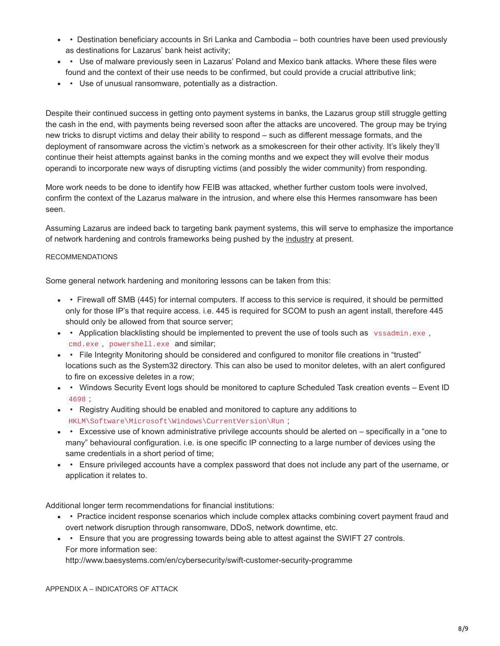- • Destination beneficiary accounts in Sri Lanka and Cambodia both countries have been used previously as destinations for Lazarus' bank heist activity;
- Use of malware previously seen in Lazarus' Poland and Mexico bank attacks. Where these files were found and the context of their use needs to be confirmed, but could provide a crucial attributive link;
- Use of unusual ransomware, potentially as a distraction.

Despite their continued success in getting onto payment systems in banks, the Lazarus group still struggle getting the cash in the end, with payments being reversed soon after the attacks are uncovered. The group may be trying new tricks to disrupt victims and delay their ability to respond – such as different message formats, and the deployment of ransomware across the victim's network as a smokescreen for their other activity. It's likely they'll continue their heist attempts against banks in the coming months and we expect they will evolve their modus operandi to incorporate new ways of disrupting victims (and possibly the wider community) from responding.

More work needs to be done to identify how FEIB was attacked, whether further custom tools were involved, confirm the context of the Lazarus malware in the intrusion, and where else this Hermes ransomware has been seen.

Assuming Lazarus are indeed back to targeting bank payment systems, this will serve to emphasize the importance of network hardening and controls frameworks being pushed by the [industry](https://www.swift.com/myswift/customer-security-programme-csp) at present.

## RECOMMENDATIONS

Some general network hardening and monitoring lessons can be taken from this:

- Firewall off SMB (445) for internal computers. If access to this service is required, it should be permitted only for those IP's that require access. i.e. 445 is required for SCOM to push an agent install, therefore 445 should only be allowed from that source server;
- Application blacklisting should be implemented to prevent the use of tools such as vssadmin.exe, cmd.exe , powershell.exe and similar;
- • File Integrity Monitoring should be considered and configured to monitor file creations in "trusted" locations such as the System32 directory. This can also be used to monitor deletes, with an alert configured to fire on excessive deletes in a row;
- Windows Security Event logs should be monitored to capture Scheduled Task creation events Event ID 4698 ;
- Registry Auditing should be enabled and monitored to capture any additions to HKLM\Software\Microsoft\Windows\CurrentVersion\Run ;
- Excessive use of known administrative privilege accounts should be alerted on specifically in a "one to many" behavioural configuration. i.e. is one specific IP connecting to a large number of devices using the same credentials in a short period of time;
- • Ensure privileged accounts have a complex password that does not include any part of the username, or application it relates to.

Additional longer term recommendations for financial institutions:

- • Practice incident response scenarios which include complex attacks combining covert payment fraud and overt network disruption through ransomware, DDoS, network downtime, etc.
- • Ensure that you are progressing towards being able to attest against the SWIFT 27 controls. For more information see: http://www.baesystems.com/en/cybersecurity/swift-customer-security-programme

APPENDIX A – INDICATORS OF ATTACK